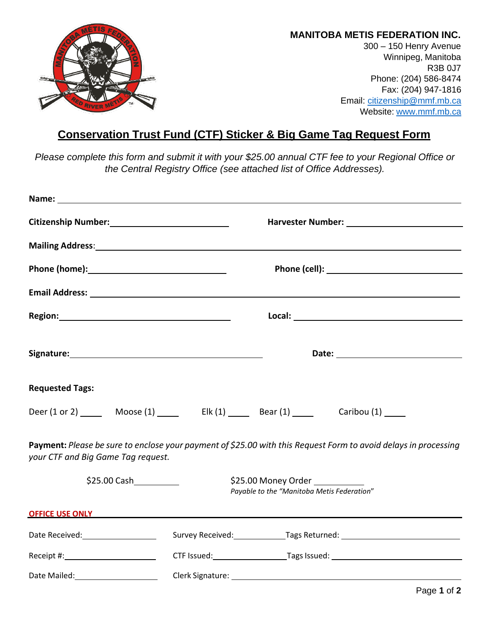

## **MANITOBA METIS FEDERATION INC.**

300 – 150 Henry Avenue Winnipeg, Manitoba R3B 0J7 Phone: (204) 586-8474 Fax: (204) 947-1816 Email: [citizenship@mmf.mb.ca](mailto:citizenship@mmf.mb.ca) Website: [www.mmf.mb.ca](http://www.mmf.mb.ca/)

## **Conservation Trust Fund (CTF) Sticker & Big Game Tag Request Form**

*Please complete this form and submit it with your \$25.00 annual CTF fee to your Regional Office or the Central Registry Office (see attached list of Office Addresses).*

| Citizenship Number:<br><u> Citizenship Number:</u>                                                                                                    | Harvester Number: National Process of Alexander Annual Process of Alexander Alexander Alexander Alexander Alex |                                                                                                                                                                                                                                      |  |  |
|-------------------------------------------------------------------------------------------------------------------------------------------------------|----------------------------------------------------------------------------------------------------------------|--------------------------------------------------------------------------------------------------------------------------------------------------------------------------------------------------------------------------------------|--|--|
|                                                                                                                                                       |                                                                                                                | Mailing Address: National Address: National Address: National Address: National Address: National Address: National Address: National Address: National Address: National Address: National Address: National Address: Nationa       |  |  |
|                                                                                                                                                       | Phone (cell): <u>www.community.com</u>                                                                         |                                                                                                                                                                                                                                      |  |  |
|                                                                                                                                                       |                                                                                                                |                                                                                                                                                                                                                                      |  |  |
|                                                                                                                                                       |                                                                                                                |                                                                                                                                                                                                                                      |  |  |
|                                                                                                                                                       |                                                                                                                |                                                                                                                                                                                                                                      |  |  |
| <b>Requested Tags:</b>                                                                                                                                |                                                                                                                |                                                                                                                                                                                                                                      |  |  |
|                                                                                                                                                       |                                                                                                                | Deer (1 or 2) ________ Moose (1) __________ Elk (1) ________ Bear (1) __________ Caribou (1) ______                                                                                                                                  |  |  |
| Payment: Please be sure to enclose your payment of \$25.00 with this Request Form to avoid delays in processing<br>your CTF and Big Game Tag request. |                                                                                                                |                                                                                                                                                                                                                                      |  |  |
| \$25.00 Money Order _________<br>\$25.00 Cash<br>Payable to the "Manitoba Metis Federation"                                                           |                                                                                                                |                                                                                                                                                                                                                                      |  |  |
|                                                                                                                                                       |                                                                                                                | <b>OFFICE USE ONLY SERVICE AND RESIDENCE IN A SERVICE OF A SERVICE OF A SERVICE OF A SERVICE OF A SERVICE OF A SERVICE OF A SERVICE OF A SERVICE OF A SERVICE OF A SERVICE OF A SERVICE OF A SERVICE OF A SERVICE OF A SERVICE O</b> |  |  |
| Date Received: _____________________                                                                                                                  |                                                                                                                | Survey Received: Tags Returned: Cambridge Contract Contract Contract Contract Contract Contract Contract Contr                                                                                                                       |  |  |
|                                                                                                                                                       |                                                                                                                |                                                                                                                                                                                                                                      |  |  |
|                                                                                                                                                       |                                                                                                                | Clerk Signature: We have a series of the series of the series of the series of the series of the series of the                                                                                                                       |  |  |